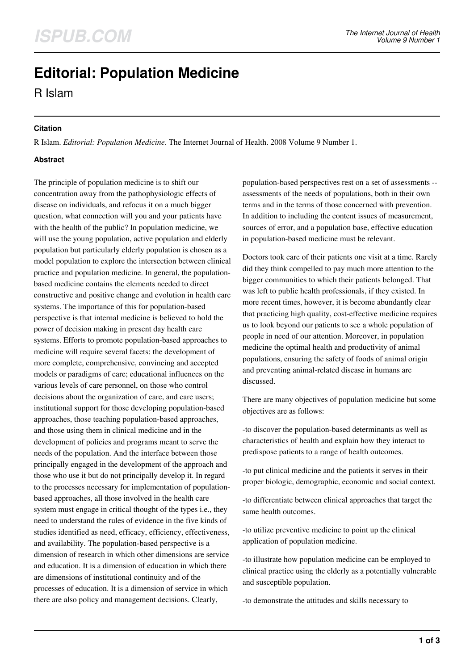# **Editorial: Population Medicine**

R Islam

## **Citation**

R Islam. *Editorial: Population Medicine*. The Internet Journal of Health. 2008 Volume 9 Number 1.

# **Abstract**

The principle of population medicine is to shift our concentration away from the pathophysiologic effects of disease on individuals, and refocus it on a much bigger question, what connection will you and your patients have with the health of the public? In population medicine, we will use the young population, active population and elderly population but particularly elderly population is chosen as a model population to explore the intersection between clinical practice and population medicine. In general, the populationbased medicine contains the elements needed to direct constructive and positive change and evolution in health care systems. The importance of this for population-based perspective is that internal medicine is believed to hold the power of decision making in present day health care systems. Efforts to promote population-based approaches to medicine will require several facets: the development of more complete, comprehensive, convincing and accepted models or paradigms of care; educational influences on the various levels of care personnel, on those who control decisions about the organization of care, and care users; institutional support for those developing population-based approaches, those teaching population-based approaches, and those using them in clinical medicine and in the development of policies and programs meant to serve the needs of the population. And the interface between those principally engaged in the development of the approach and those who use it but do not principally develop it. In regard to the processes necessary for implementation of populationbased approaches, all those involved in the health care system must engage in critical thought of the types i.e., they need to understand the rules of evidence in the five kinds of studies identified as need, efficacy, efficiency, effectiveness, and availability. The population-based perspective is a dimension of research in which other dimensions are service and education. It is a dimension of education in which there are dimensions of institutional continuity and of the processes of education. It is a dimension of service in which there are also policy and management decisions. Clearly,

population-based perspectives rest on a set of assessments - assessments of the needs of populations, both in their own terms and in the terms of those concerned with prevention. In addition to including the content issues of measurement, sources of error, and a population base, effective education in population-based medicine must be relevant.

Doctors took care of their patients one visit at a time. Rarely did they think compelled to pay much more attention to the bigger communities to which their patients belonged. That was left to public health professionals, if they existed. In more recent times, however, it is become abundantly clear that practicing high quality, cost-effective medicine requires us to look beyond our patients to see a whole population of people in need of our attention. Moreover, in population medicine the optimal health and productivity of animal populations, ensuring the safety of foods of animal origin and preventing animal-related disease in humans are discussed.

There are many objectives of population medicine but some objectives are as follows:

-to discover the population-based determinants as well as characteristics of health and explain how they interact to predispose patients to a range of health outcomes.

-to put clinical medicine and the patients it serves in their proper biologic, demographic, economic and social context.

-to differentiate between clinical approaches that target the same health outcomes.

-to utilize preventive medicine to point up the clinical application of population medicine.

-to illustrate how population medicine can be employed to clinical practice using the elderly as a potentially vulnerable and susceptible population.

-to demonstrate the attitudes and skills necessary to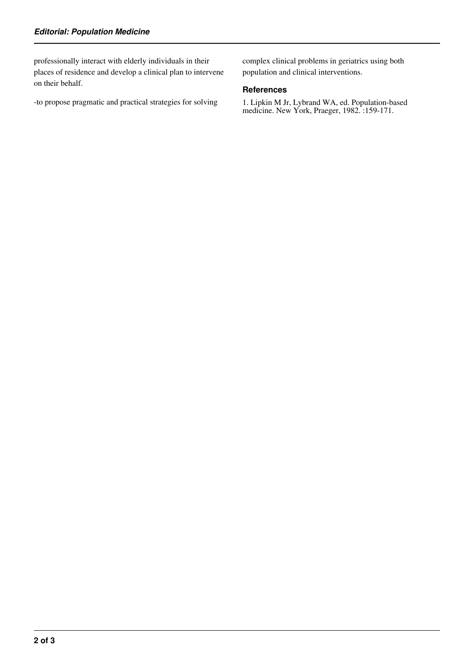professionally interact with elderly individuals in their places of residence and develop a clinical plan to intervene on their behalf.

-to propose pragmatic and practical strategies for solving

complex clinical problems in geriatrics using both population and clinical interventions.

#### **References**

1. Lipkin M Jr, Lybrand WA, ed. Population-based medicine. New York, Praeger, 1982. :159-171.